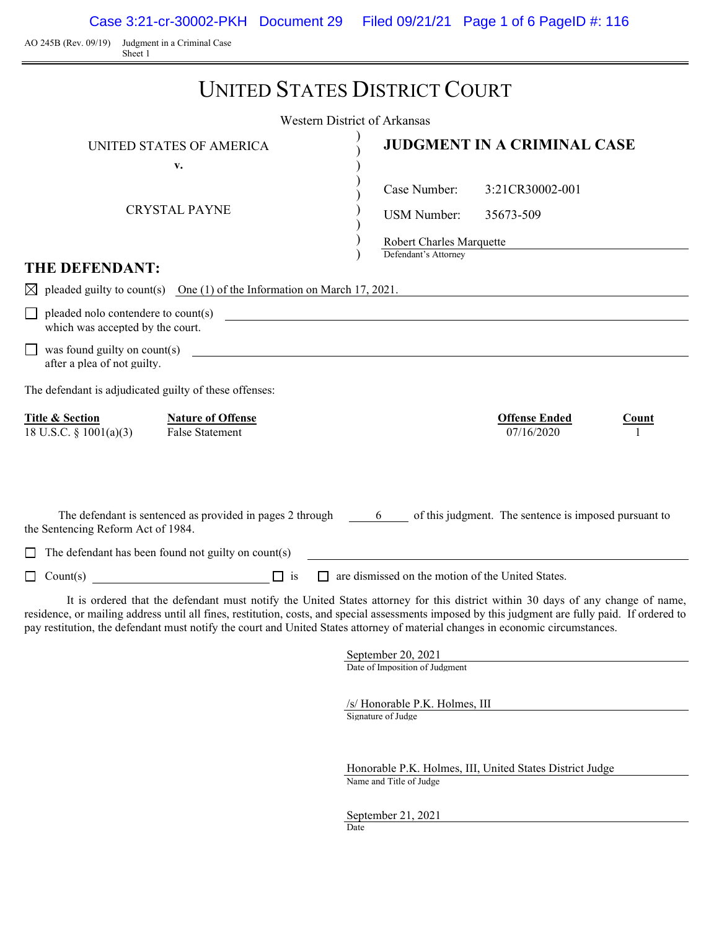Case 3:21-cr-30002-PKH Document 29 Filed 09/21/21 Page 1 of 6 PageID #: 116

AO 245B (Rev. 09/19) Judgment in a Criminal Case Sheet 1

Ē.

|                                                                                                                                | <b>UNITED STATES DISTRICT COURT</b>                                                                                                                                                                                                                                                  |
|--------------------------------------------------------------------------------------------------------------------------------|--------------------------------------------------------------------------------------------------------------------------------------------------------------------------------------------------------------------------------------------------------------------------------------|
|                                                                                                                                | <b>Western District of Arkansas</b>                                                                                                                                                                                                                                                  |
| UNITED STATES OF AMERICA                                                                                                       | <b>JUDGMENT IN A CRIMINAL CASE</b>                                                                                                                                                                                                                                                   |
| v.                                                                                                                             |                                                                                                                                                                                                                                                                                      |
|                                                                                                                                | Case Number:<br>3:21CR30002-001                                                                                                                                                                                                                                                      |
| <b>CRYSTAL PAYNE</b>                                                                                                           | <b>USM Number:</b><br>35673-509                                                                                                                                                                                                                                                      |
|                                                                                                                                | Robert Charles Marquette                                                                                                                                                                                                                                                             |
| <b>THE DEFENDANT:</b>                                                                                                          | Defendant's Attorney                                                                                                                                                                                                                                                                 |
| $\boxtimes$ pleaded guilty to count(s) One (1) of the Information on March 17, 2021.                                           |                                                                                                                                                                                                                                                                                      |
| pleaded nolo contendere to count(s)<br>which was accepted by the court.                                                        |                                                                                                                                                                                                                                                                                      |
| was found guilty on count(s)<br>after a plea of not guilty.                                                                    | <u>and the company of the company of the company of the company of the company of the company of the company of</u>                                                                                                                                                                  |
| The defendant is adjudicated guilty of these offenses:                                                                         |                                                                                                                                                                                                                                                                                      |
| <b>Title &amp; Section</b><br><b>Nature of Offense</b><br>18 U.S.C. § 1001(a)(3)<br><b>False Statement</b>                     | <b>Offense Ended</b><br>Count<br>07/16/2020                                                                                                                                                                                                                                          |
| The defendant is sentenced as provided in pages 2 through 6<br>the Sentencing Reform Act of 1984.                              | of this judgment. The sentence is imposed pursuant to                                                                                                                                                                                                                                |
| The defendant has been found not guilty on count(s)<br>$\Box$                                                                  |                                                                                                                                                                                                                                                                                      |
| $\Box$ is<br>$\Box$ Count(s)                                                                                                   | are dismissed on the motion of the United States.                                                                                                                                                                                                                                    |
| pay restitution, the defendant must notify the court and United States attorney of material changes in economic circumstances. | It is ordered that the defendant must notify the United States attorney for this district within 30 days of any change of name,<br>residence, or mailing address until all fines, restitution, costs, and special assessments imposed by this judgment are fully paid. If ordered to |
|                                                                                                                                | September 20, 2021<br>Date of Imposition of Judgment                                                                                                                                                                                                                                 |
|                                                                                                                                |                                                                                                                                                                                                                                                                                      |

/s/ Honorable P.K. Holmes, III Signature of Judge

Honorable P.K. Holmes, III, United States District Judge Name and Title of Judge

September 21, 2021 Date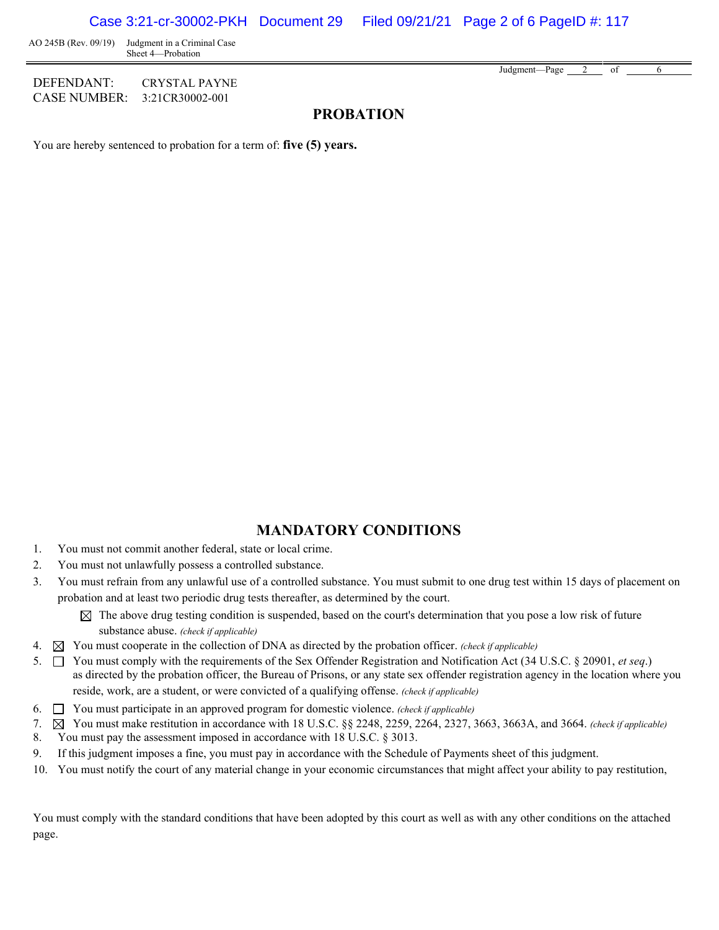AO 245B (Rev. 09/19) Judgment in a Criminal Case Sheet 4—Probation

DEFENDANT: CRYSTAL PAYNE CASE NUMBER: 3:21CR30002-001

Judgment—Page 2 of 6

## **PROBATION**

You are hereby sentenced to probation for a term of: **five (5) years.**

### **MANDATORY CONDITIONS**

- 1. You must not commit another federal, state or local crime.
- 2. You must not unlawfully possess a controlled substance.
- 3. You must refrain from any unlawful use of a controlled substance. You must submit to one drug test within 15 days of placement on probation and at least two periodic drug tests thereafter, as determined by the court.
	- $\boxtimes$  The above drug testing condition is suspended, based on the court's determination that you pose a low risk of future substance abuse. *(check if applicable)*
- 4. You must cooperate in the collection of DNA as directed by the probation officer. *(check if applicable)*
- 5. You must comply with the requirements of the Sex Offender Registration and Notification Act (34 U.S.C. § 20901, *et seq*.) as directed by the probation officer, the Bureau of Prisons, or any state sex offender registration agency in the location where you reside, work, are a student, or were convicted of a qualifying offense. *(check if applicable)*
- 6. You must participate in an approved program for domestic violence. *(check if applicable)*
- 7. You must make restitution in accordance with 18 U.S.C. §§ 2248, 2259, 2264, 2327, 3663, 3663A, and 3664. *(check if applicable)*
- 8. You must pay the assessment imposed in accordance with 18 U.S.C. § 3013.
- 9. If this judgment imposes a fine, you must pay in accordance with the Schedule of Payments sheet of this judgment.
- 10. You must notify the court of any material change in your economic circumstances that might affect your ability to pay restitution,

You must comply with the standard conditions that have been adopted by this court as well as with any other conditions on the attached page.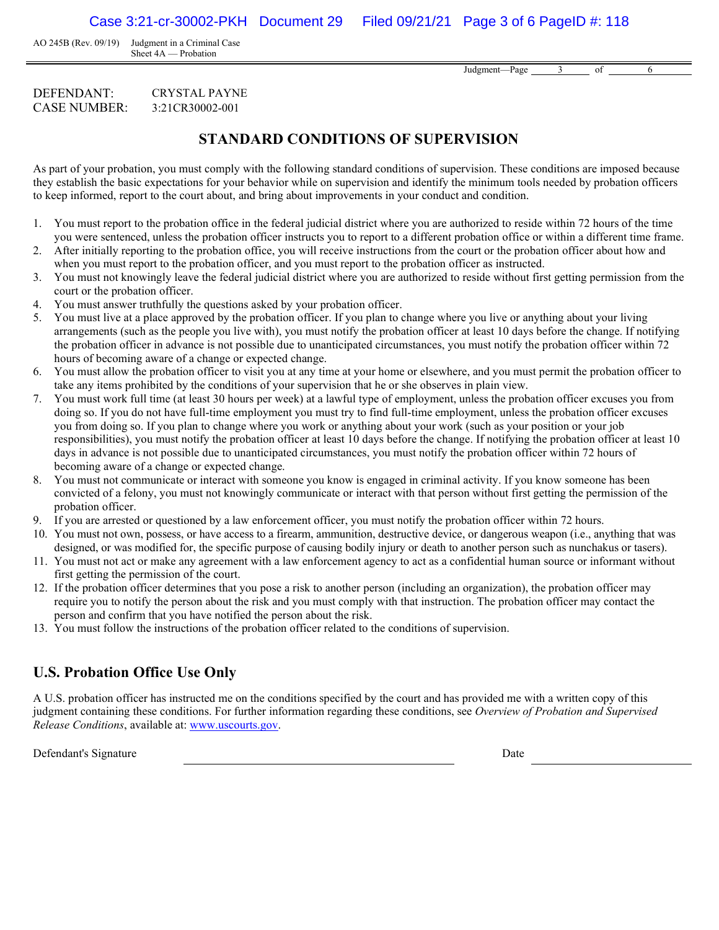AO 245B (Rev. 09/19) Judgment in a Criminal Case Sheet 4A — Probation

Judgment—Page 3 of 6

#### DEFENDANT: CRYSTAL PAYNE CASE NUMBER: 3:21CR30002-001

## **STANDARD CONDITIONS OF SUPERVISION**

As part of your probation, you must comply with the following standard conditions of supervision. These conditions are imposed because they establish the basic expectations for your behavior while on supervision and identify the minimum tools needed by probation officers to keep informed, report to the court about, and bring about improvements in your conduct and condition.

- 1. You must report to the probation office in the federal judicial district where you are authorized to reside within 72 hours of the time you were sentenced, unless the probation officer instructs you to report to a different probation office or within a different time frame.
- 2. After initially reporting to the probation office, you will receive instructions from the court or the probation officer about how and when you must report to the probation officer, and you must report to the probation officer as instructed.
- 3. You must not knowingly leave the federal judicial district where you are authorized to reside without first getting permission from the court or the probation officer.
- 4. You must answer truthfully the questions asked by your probation officer.
- 5. You must live at a place approved by the probation officer. If you plan to change where you live or anything about your living arrangements (such as the people you live with), you must notify the probation officer at least 10 days before the change. If notifying the probation officer in advance is not possible due to unanticipated circumstances, you must notify the probation officer within 72 hours of becoming aware of a change or expected change.
- 6. You must allow the probation officer to visit you at any time at your home or elsewhere, and you must permit the probation officer to take any items prohibited by the conditions of your supervision that he or she observes in plain view.
- 7. You must work full time (at least 30 hours per week) at a lawful type of employment, unless the probation officer excuses you from doing so. If you do not have full-time employment you must try to find full-time employment, unless the probation officer excuses you from doing so. If you plan to change where you work or anything about your work (such as your position or your job responsibilities), you must notify the probation officer at least 10 days before the change. If notifying the probation officer at least 10 days in advance is not possible due to unanticipated circumstances, you must notify the probation officer within 72 hours of becoming aware of a change or expected change.
- 8. You must not communicate or interact with someone you know is engaged in criminal activity. If you know someone has been convicted of a felony, you must not knowingly communicate or interact with that person without first getting the permission of the probation officer.
- 9. If you are arrested or questioned by a law enforcement officer, you must notify the probation officer within 72 hours.
- 10. You must not own, possess, or have access to a firearm, ammunition, destructive device, or dangerous weapon (i.e., anything that was designed, or was modified for, the specific purpose of causing bodily injury or death to another person such as nunchakus or tasers).
- 11. You must not act or make any agreement with a law enforcement agency to act as a confidential human source or informant without first getting the permission of the court.
- 12. If the probation officer determines that you pose a risk to another person (including an organization), the probation officer may require you to notify the person about the risk and you must comply with that instruction. The probation officer may contact the person and confirm that you have notified the person about the risk.
- 13. You must follow the instructions of the probation officer related to the conditions of supervision.

# **U.S. Probation Office Use Only**

A U.S. probation officer has instructed me on the conditions specified by the court and has provided me with a written copy of this judgment containing these conditions. For further information regarding these conditions, see *Overview of Probation and Supervised Release Conditions*, available at: [www.uscourts.gov.](http://www.uscourts.gov/)

Defendant's Signature Date Date of the Date of the Date Date of the Date Date of the Date of the Date of the Date of the Date of the Date of the Date of the Date of the Date of the Date of the Date of the Date of the Date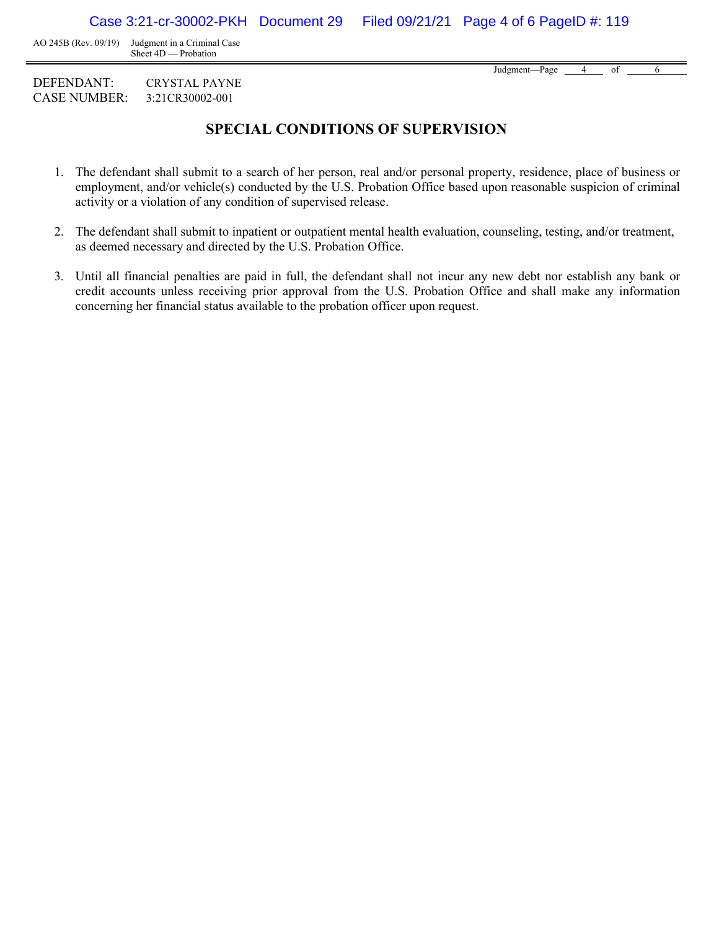AO 245B (Rev. 09/19) Judgment in a Criminal Case Sheet 4D — Probation

Judgment—Page 4 of 6

DEFENDANT: CRYSTAL PAYNE CASE NUMBER: 3:21CR30002-001

# **SPECIAL CONDITIONS OF SUPERVISION**

- 1. The defendant shall submit to a search of her person, real and/or personal property, residence, place of business or employment, and/or vehicle(s) conducted by the U.S. Probation Office based upon reasonable suspicion of criminal activity or a violation of any condition of supervised release.
- 2. The defendant shall submit to inpatient or outpatient mental health evaluation, counseling, testing, and/or treatment, as deemed necessary and directed by the U.S. Probation Office.
- 3. Until all financial penalties are paid in full, the defendant shall not incur any new debt nor establish any bank or credit accounts unless receiving prior approval from the U.S. Probation Office and shall make any information concerning her financial status available to the probation officer upon request.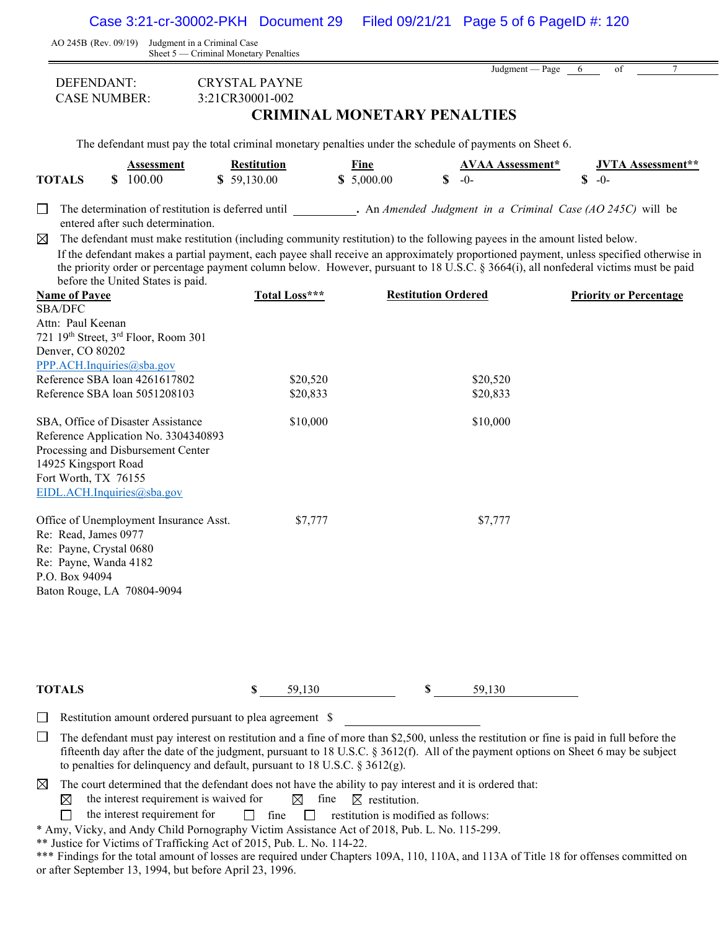Case 3:21-cr-30002-PKH Document 29 Filed 09/21/21 Page 5 of 6 PageID #: 120

|                                                                                            | AO 245B (Rev. 09/19) Judgment in a Criminal Case                                                                                               | Sheet 5 — Criminal Monetary Penalties                                                                                                                                                                                                                                                                                                                                                                        |                    |                            |                                 |             |                                   |
|--------------------------------------------------------------------------------------------|------------------------------------------------------------------------------------------------------------------------------------------------|--------------------------------------------------------------------------------------------------------------------------------------------------------------------------------------------------------------------------------------------------------------------------------------------------------------------------------------------------------------------------------------------------------------|--------------------|----------------------------|---------------------------------|-------------|-----------------------------------|
| DEFENDANT:                                                                                 | <b>CASE NUMBER:</b>                                                                                                                            | <b>CRYSTAL PAYNE</b><br>3:21CR30001-002<br><b>CRIMINAL MONETARY PENALTIES</b>                                                                                                                                                                                                                                                                                                                                |                    |                            | Judgment — Page                 | 6           | of<br>7                           |
|                                                                                            |                                                                                                                                                | The defendant must pay the total criminal monetary penalties under the schedule of payments on Sheet 6.                                                                                                                                                                                                                                                                                                      |                    |                            |                                 |             |                                   |
| <b>TOTALS</b>                                                                              | Assessment<br>\$ 100.00                                                                                                                        | <b>Restitution</b><br>\$59,130.00                                                                                                                                                                                                                                                                                                                                                                            | Fine<br>\$5,000.00 | $\mathbf S$                | <b>AVAA Assessment*</b><br>$-0$ | $\mathbf S$ | <b>JVTA Assessment**</b><br>$-0-$ |
| $\Box$                                                                                     | entered after such determination.                                                                                                              | The determination of restitution is deferred until . An Amended Judgment in a Criminal Case (AO 245C) will be                                                                                                                                                                                                                                                                                                |                    |                            |                                 |             |                                   |
| $\boxtimes$                                                                                | before the United States is paid.                                                                                                              | The defendant must make restitution (including community restitution) to the following payees in the amount listed below.<br>If the defendant makes a partial payment, each payee shall receive an approximately proportioned payment, unless specified otherwise in<br>the priority order or percentage payment column below. However, pursuant to 18 U.S.C. § 3664(i), all nonfederal victims must be paid |                    |                            |                                 |             |                                   |
| <b>Name of Payee</b>                                                                       |                                                                                                                                                | Total Loss***                                                                                                                                                                                                                                                                                                                                                                                                |                    | <b>Restitution Ordered</b> |                                 |             | <b>Priority or Percentage</b>     |
| <b>SBA/DFC</b><br>Attn: Paul Keenan<br>Denver, CO 80202                                    | 721 19th Street, 3 <sup>rd</sup> Floor, Room 301                                                                                               |                                                                                                                                                                                                                                                                                                                                                                                                              |                    |                            |                                 |             |                                   |
|                                                                                            | PPP.ACH.Inquiries@sba.gov<br>Reference SBA loan 4261617802                                                                                     | \$20,520                                                                                                                                                                                                                                                                                                                                                                                                     |                    |                            | \$20,520                        |             |                                   |
|                                                                                            | Reference SBA loan 5051208103                                                                                                                  | \$20,833                                                                                                                                                                                                                                                                                                                                                                                                     |                    |                            | \$20,833                        |             |                                   |
| 14925 Kingsport Road<br>Fort Worth, TX 76155                                               | SBA, Office of Disaster Assistance<br>Reference Application No. 3304340893<br>Processing and Disbursement Center<br>EIDL.ACH.Inquiries@sba.gov | \$10,000                                                                                                                                                                                                                                                                                                                                                                                                     |                    |                            | \$10,000                        |             |                                   |
| Re: Read, James 0977<br>Re: Payne, Crystal 0680<br>Re: Payne, Wanda 4182<br>P.O. Box 94094 | Office of Unemployment Insurance Asst.<br>Baton Rouge, LA 70804-9094                                                                           | \$7,777                                                                                                                                                                                                                                                                                                                                                                                                      |                    |                            | \$7,777                         |             |                                   |

**TOTALS \$** 59,130 **\$** 59,130

Restitution amount ordered pursuant to plea agreement \$  $\Box$ 

 $\Box$  The defendant must pay interest on restitution and a fine of more than \$2,500, unless the restitution or fine is paid in full before the fifteenth day after the date of the judgment, pursuant to 18 U.S.C. § 3612(f). All of the payment options on Sheet 6 may be subject to penalties for delinquency and default, pursuant to 18 U.S.C. § 3612(g).

 $\boxtimes$ The court determined that the defendant does not have the ability to pay interest and it is ordered that:

the interest requirement is waived for  $\boxtimes$  fine  $\boxtimes$  restitution.  $\boxtimes$ 

 $\Box$ the interest requirement for  $\Box$  fine  $\Box$  restitution is modified as follows:

\* Amy, Vicky, and Andy Child Pornography Victim Assistance Act of 2018, Pub. L. No. 115-299.

\*\* Justice for Victims of Trafficking Act of 2015, Pub. L. No. 114-22.

\*\*\* Findings for the total amount of losses are required under Chapters 109A, 110, 110A, and 113A of Title 18 for offenses committed on or after September 13, 1994, but before April 23, 1996.